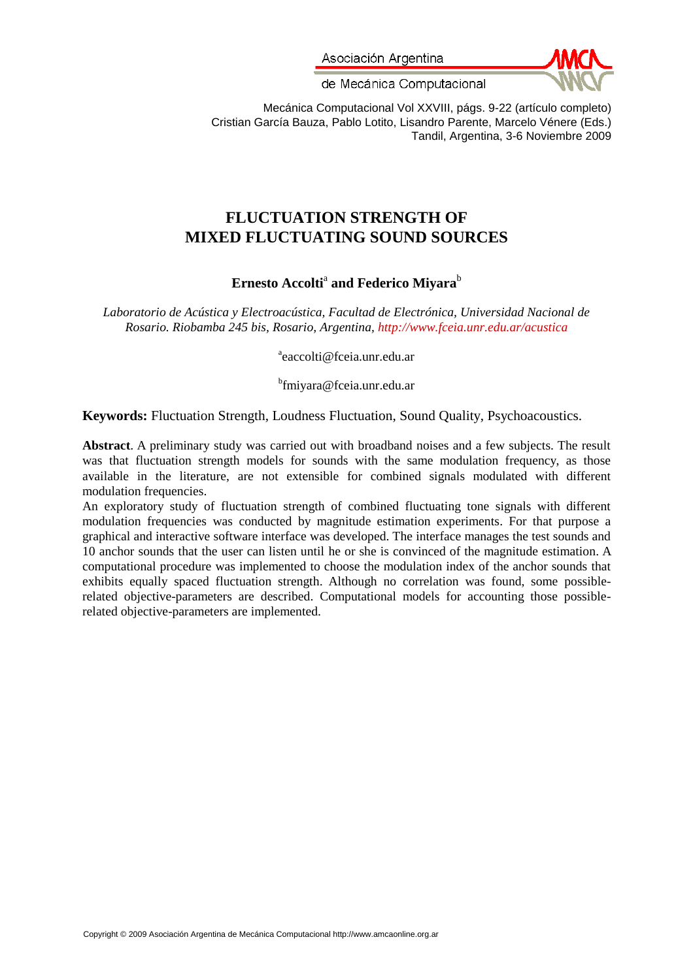Asociación Argentina



de Mecánica Computacional

Mecánica Computacional Vol XXVIII, págs. 9-22 (artículo completo) Cristian García Bauza, Pablo Lotito, Lisandro Parente, Marcelo Vénere (Eds.) Tandil, Argentina, 3-6 Noviembre 2009

# **FLUCTUATION STRENGTH OF MIXED FLUCTUATING SOUND SOURCES**

# $\bf{E}$ rnesto Accolti $\rm{^a}$  and Federico Miyara $\rm{^b}$

*Laboratorio de Acústica y Electroacústica, Facultad de Electrónica, Universidad Nacional de Rosario. Riobamba 245 bis, Rosario, Argentina,<http://www.fceia.unr.edu.ar/acustica>*

a eaccolti@fceia.unr.edu.ar

b fmiyara@fceia.unr.edu.ar

**Keywords:** Fluctuation Strength, Loudness Fluctuation, Sound Quality, Psychoacoustics.

**Abstract**. A preliminary study was carried out with broadband noises and a few subjects. The result was that fluctuation strength models for sounds with the same modulation frequency, as those available in the literature, are not extensible for combined signals modulated with different modulation frequencies.

An exploratory study of fluctuation strength of combined fluctuating tone signals with different modulation frequencies was conducted by magnitude estimation experiments. For that purpose a graphical and interactive software interface was developed. The interface manages the test sounds and 10 anchor sounds that the user can listen until he or she is convinced of the magnitude estimation. A computational procedure was implemented to choose the modulation index of the anchor sounds that exhibits equally spaced fluctuation strength. Although no correlation was found, some possiblerelated objective-parameters are described. Computational models for accounting those possiblerelated objective-parameters are implemented.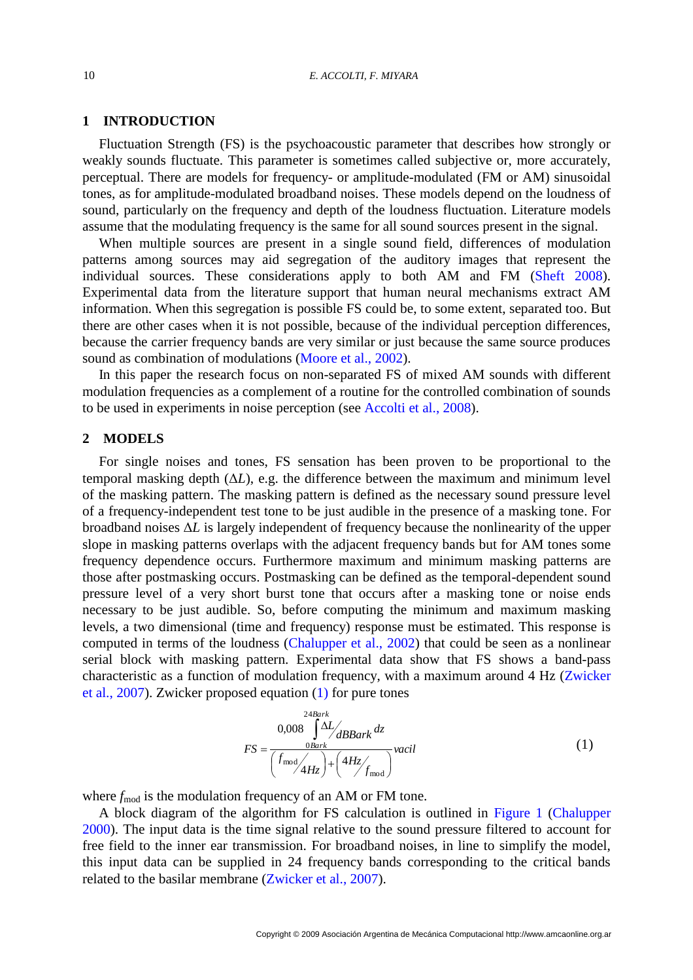# **1 INTRODUCTION**

Fluctuation Strength (FS) is the psychoacoustic parameter that describes how strongly or weakly sounds fluctuate. This parameter is sometimes called subjective or, more accurately, perceptual. There are models for frequency- or amplitude-modulated (FM or AM) sinusoidal tones, as for amplitude-modulated broadband noises. These models depend on the loudness of sound, particularly on the frequency and depth of the loudness fluctuation. Literature models assume that the modulating frequency is the same for all sound sources present in the signal.

When multiple sources are present in a single sound field, differences of modulation patterns among sources may aid segregation of the auditory images that represent the individual sources. These considerations apply to both AM and FM [\(Sheft 2008\)](#page-13-0). Experimental data from the literature support that human neural mechanisms extract AM information. When this segregation is possible FS could be, to some extent, separated too. But there are other cases when it is not possible, because of the individual perception differences, because the carrier frequency bands are very similar or just because the same source produces sound as combination of modulations [\(Moore et al., 2002\)](#page-13-1).

In this paper the research focus on non-separated FS of mixed AM sounds with different modulation frequencies as a complement of a routine for the controlled combination of sounds to be used in experiments in noise perception (see [Accolti et al., 2008\)](#page-12-0).

# **2 MODELS**

For single noises and tones, FS sensation has been proven to be proportional to the temporal masking depth  $(\Delta L)$ , e.g. the difference between the maximum and minimum level of the masking pattern. The masking pattern is defined as the necessary sound pressure level of a frequency-independent test tone to be just audible in the presence of a masking tone. For broadband noises Δ*L* is largely independent of frequency because the nonlinearity of the upper slope in masking patterns overlaps with the adjacent frequency bands but for AM tones some frequency dependence occurs. Furthermore maximum and minimum masking patterns are those after postmasking occurs. Postmasking can be defined as the temporal-dependent sound pressure level of a very short burst tone that occurs after a masking tone or noise ends necessary to be just audible. So, before computing the minimum and maximum masking levels, a two dimensional (time and frequency) response must be estimated. This response is computed in terms of the loudness [\(Chalupper et al., 2002\)](#page-12-1) that could be seen as a nonlinear serial block with masking pattern. Experimental data show that FS shows a band-pass characteristic as a function of modulation frequency, with a maximum around 4 Hz [\(Zwicker](#page-13-2)  [et al., 2007\)](#page-13-2). Zwicker proposed equation [\(1\)](#page-1-0) for pure tones

<span id="page-1-0"></span>
$$
FS = \frac{0.008 \int \Delta L}{\left(f_{\text{mod}}/4Hz\right) + \left(4Hz/f_{\text{mod}}\right)}\text{vacil}
$$
\n(1)

where  $f_{\text{mod}}$  is the modulation frequency of an AM or FM tone.

A block diagram of the algorithm for FS calculation is outlined in [Figure 1](#page-2-0) [\(Chalupper](#page-12-2)  [2000\)](#page-12-2). The input data is the time signal relative to the sound pressure filtered to account for free field to the inner ear transmission. For broadband noises, in line to simplify the model, this input data can be supplied in 24 frequency bands corresponding to the critical bands related to the basilar membrane [\(Zwicker et al., 2007\)](#page-13-2).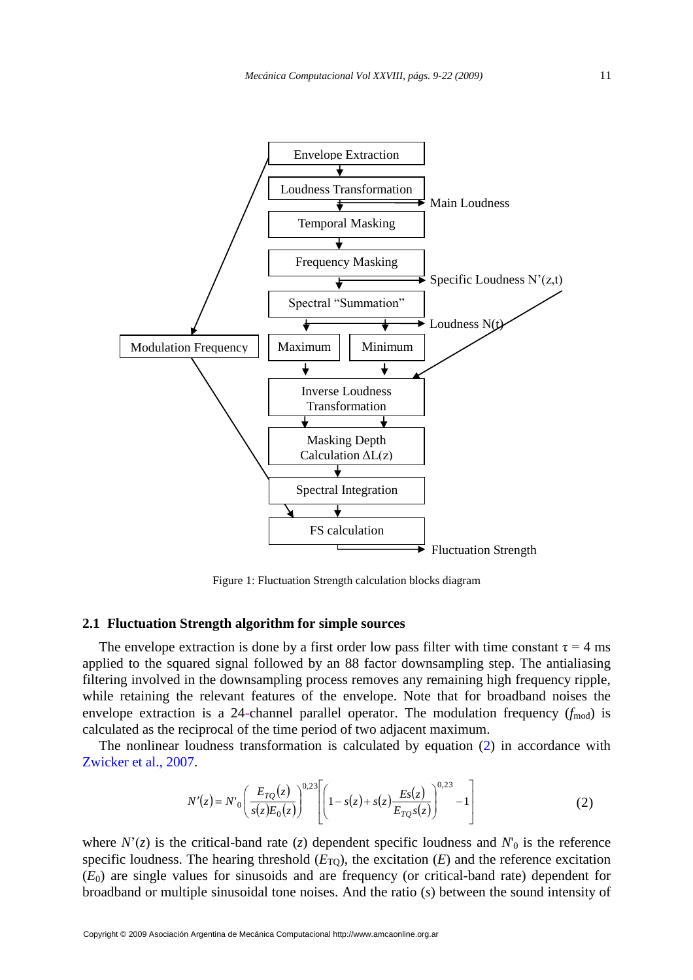

Figure 1: Fluctuation Strength calculation blocks diagram

# <span id="page-2-2"></span><span id="page-2-0"></span>**2.1 Fluctuation Strength algorithm for simple sources**

The envelope extraction is done by a first order low pass filter with time constant  $\tau = 4$  ms applied to the squared signal followed by an 88 factor downsampling step. The antialiasing filtering involved in the downsampling process removes any remaining high frequency ripple, while retaining the relevant features of the envelope. Note that for broadband noises the envelope extraction is a 24-channel parallel operator. The modulation frequency  $(f_{\text{mod}})$  is calculated as the reciprocal of the time period of two adjacent maximum.

The nonlinear loudness transformation is calculated by equation [\(2\)](#page-2-1) in accordance with [Zwicker et al., 2007.](#page-13-2)

<span id="page-2-1"></span>
$$
N'(z) = N'_0 \left(\frac{E_{TQ}(z)}{s(z)E_0(z)}\right)^{0.23} \left[ \left(1 - s(z) + s(z)\frac{Es(z)}{E_{TQ}s(z)}\right)^{0.23} - 1\right]
$$
(2)

where  $N'(z)$  is the critical-band rate (*z*) dependent specific loudness and  $N_0$  is the reference specific loudness. The hearing threshold  $(E_{\text{TO}})$ , the excitation  $(E)$  and the reference excitation (*E*0) are single values for sinusoids and are frequency (or critical-band rate) dependent for broadband or multiple sinusoidal tone noises. And the ratio (*s*) between the sound intensity of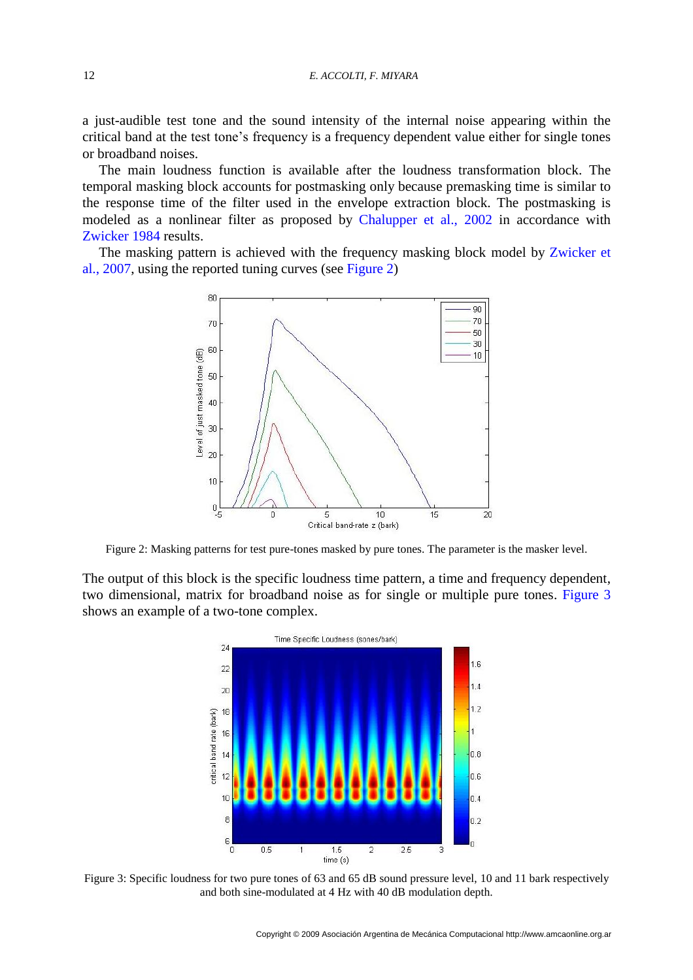a just-audible test tone and the sound intensity of the internal noise appearing within the critical band at the test tone's frequency is a frequency dependent value either for single tones or broadband noises.

The main loudness function is available after the loudness transformation block. The temporal masking block accounts for postmasking only because premasking time is similar to the response time of the filter used in the envelope extraction block. The postmasking is modeled as a nonlinear filter as proposed by [Chalupper et al., 2002](#page-12-1) in accordance with [Zwicker 1984](#page-13-3) results.

The masking pattern is achieved with the frequency masking block model by Zwicker et [al., 2007,](#page-13-2) using the reported tuning curves (see [Figure 2\)](#page-3-0)



<span id="page-3-0"></span>Figure 2: Masking patterns for test pure-tones masked by pure tones. The parameter is the masker level.

The output of this block is the specific loudness time pattern, a time and frequency dependent, two dimensional, matrix for broadband noise as for single or multiple pure tones. [Figure 3](#page-3-1) shows an example of a two-tone complex.



<span id="page-3-1"></span>Figure 3: Specific loudness for two pure tones of 63 and 65 dB sound pressure level, 10 and 11 bark respectively and both sine-modulated at 4 Hz with 40 dB modulation depth.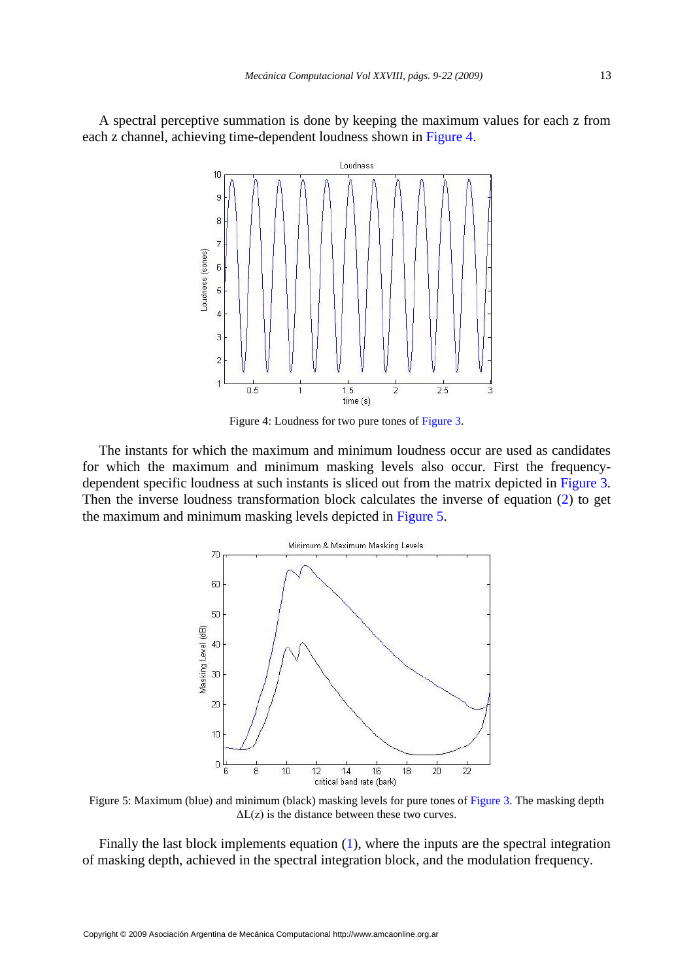A spectral perceptive summation is done by keeping the maximum values for each z from each z channel, achieving time-dependent loudness shown in [Figure 4.](#page-4-0)



Figure 4: Loudness for two pure tones of [Figure 3.](#page-3-1)

<span id="page-4-0"></span>The instants for which the maximum and minimum loudness occur are used as candidates for which the maximum and minimum masking levels also occur. First the frequencydependent specific loudness at such instants is sliced out from the matrix depicted in [Figure 3.](#page-3-1) Then the inverse loudness transformation block calculates the inverse of equation (2) to get the maximum and minimum masking levels depicted in [Figure 5.](#page-4-1)



<span id="page-4-1"></span>Figure 5: Maximum (blue) and minimum (black) masking levels for pure tones of [Figure 3.](#page-3-1) The masking depth  $\Delta L(z)$  is the distance between these two curves.

Finally the last block implements equation [\(1\),](#page-1-0) where the inputs are the spectral integration of masking depth, achieved in the spectral integration block, and the modulation frequency.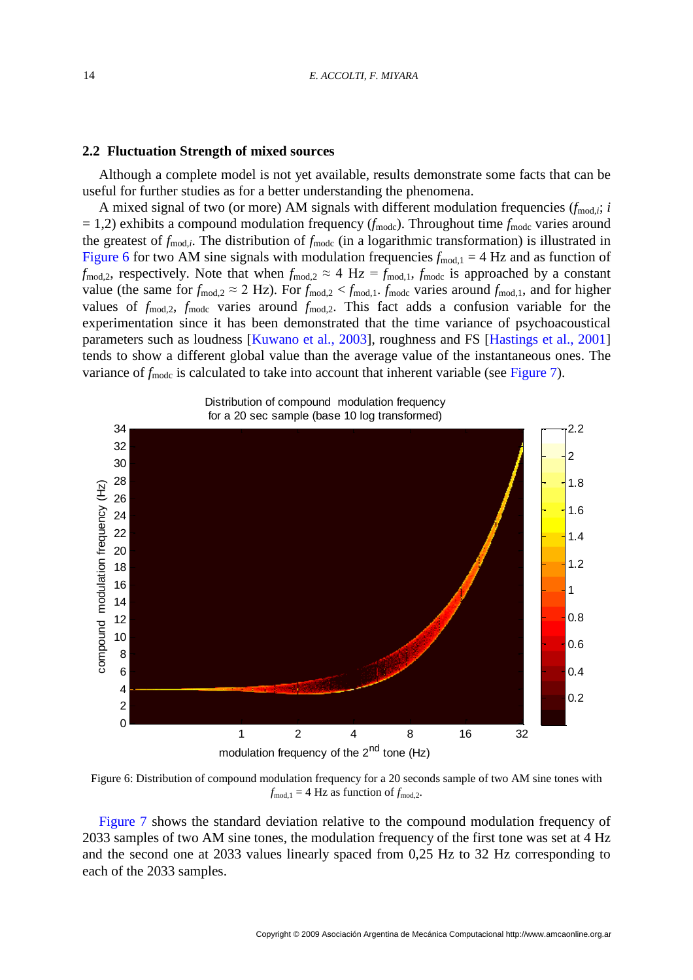# **2.2 Fluctuation Strength of mixed sources**

Although a complete model is not yet available, results demonstrate some facts that can be useful for further studies as for a better understanding the phenomena.

A mixed signal of two (or more) AM signals with different modulation frequencies  $(f_{\text{mod},i}; i)$  $= 1,2$ ) exhibits a compound modulation frequency ( $f_{\text{mode}}$ ). Throughout time  $f_{\text{mode}}$  varies around the greatest of  $f_{\text{mod},i}$ . The distribution of  $f_{\text{modc}}$  (in a logarithmic transformation) is illustrated in [Figure](#page-5-0) 6 for two AM sine signals with modulation frequencies  $f_{\text{mod},1} = 4$  Hz and as function of  $f_{\text{mod},2}$ , respectively. Note that when  $f_{\text{mod},2} \approx 4 \text{ Hz} = f_{\text{mod},1}$ ,  $f_{\text{mod}}$  is approached by a constant value (the same for  $f_{\text{mod},2} \approx 2$  Hz). For  $f_{\text{mod},2} < f_{\text{mod},1}$ ,  $f_{\text{mod},2}$  varies around  $f_{\text{mod},1}$ , and for higher values of  $f_{\text{mod},2}$ ,  $f_{\text{mod}}$  varies around  $f_{\text{mod},2}$ . This fact adds a confusion variable for the experimentation since it has been demonstrated that the time variance of psychoacoustical parameters such as loudness [\[Kuwano et al., 2003\]](#page-13-4), roughness and FS [\[Hastings et al., 2001\]](#page-12-3) tends to show a different global value than the average value of the instantaneous ones. The variance of  $f_{\text{mode}}$  is calculated to take into account that inherent variable (see [Figure 7\)](#page-6-0).



<span id="page-5-0"></span>Figure 6: Distribution of compound modulation frequency for a 20 seconds sample of two AM sine tones with  $f_{\text{mod},1} = 4$  Hz as function of  $f_{\text{mod},2}$ .

[Figure 7](#page-6-0) shows the standard deviation relative to the compound modulation frequency of 2033 samples of two AM sine tones, the modulation frequency of the first tone was set at 4 Hz and the second one at 2033 values linearly spaced from 0,25 Hz to 32 Hz corresponding to each of the 2033 samples.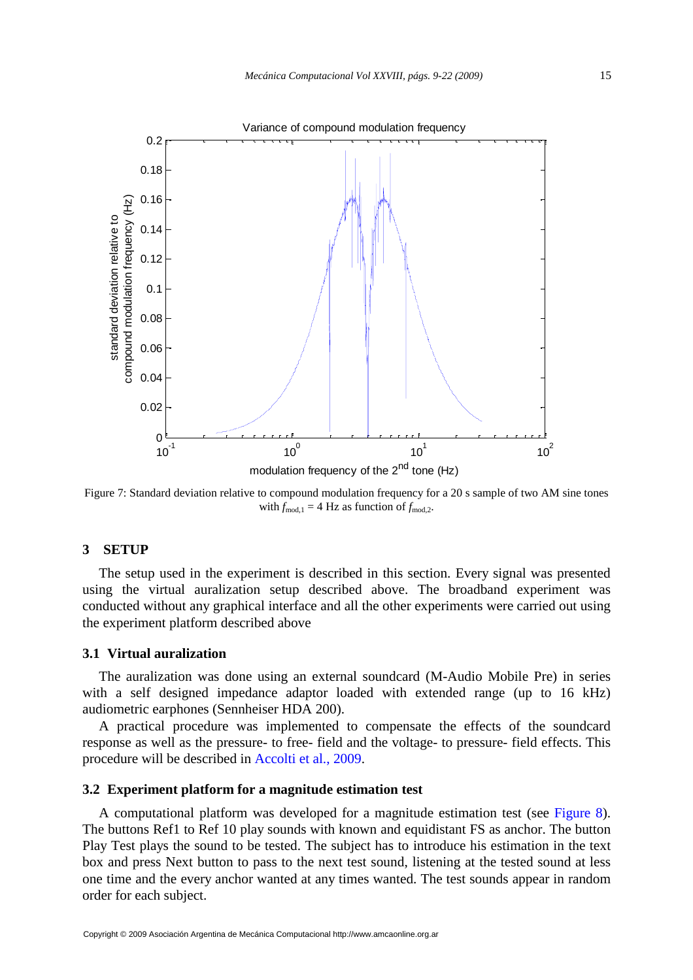

<span id="page-6-0"></span>Figure 7: Standard deviation relative to compound modulation frequency for a 20 s sample of two AM sine tones with  $f_{\text{mod},1} = 4$  Hz as function of  $f_{\text{mod},2}$ .

# **3 SETUP**

The setup used in the experiment is described in this section. Every signal was presented using the virtual auralization setup described above. The broadband experiment was conducted without any graphical interface and all the other experiments were carried out using the experiment platform described above

#### **3.1 Virtual auralization**

The auralization was done using an external soundcard (M-Audio Mobile Pre) in series with a self designed impedance adaptor loaded with extended range (up to 16 kHz) audiometric earphones (Sennheiser HDA 200).

A practical procedure was implemented to compensate the effects of the soundcard response as well as the pressure- to free- field and the voltage- to pressure- field effects. This procedure will be described in [Accolti et al., 2009.](#page-12-4)

#### **3.2 Experiment platform for a magnitude estimation test**

A computational platform was developed for a magnitude estimation test (see [Figure 8\)](#page-7-0). The buttons Ref1 to Ref 10 play sounds with known and equidistant FS as anchor. The button Play Test plays the sound to be tested. The subject has to introduce his estimation in the text box and press Next button to pass to the next test sound, listening at the tested sound at less one time and the every anchor wanted at any times wanted. The test sounds appear in random order for each subject.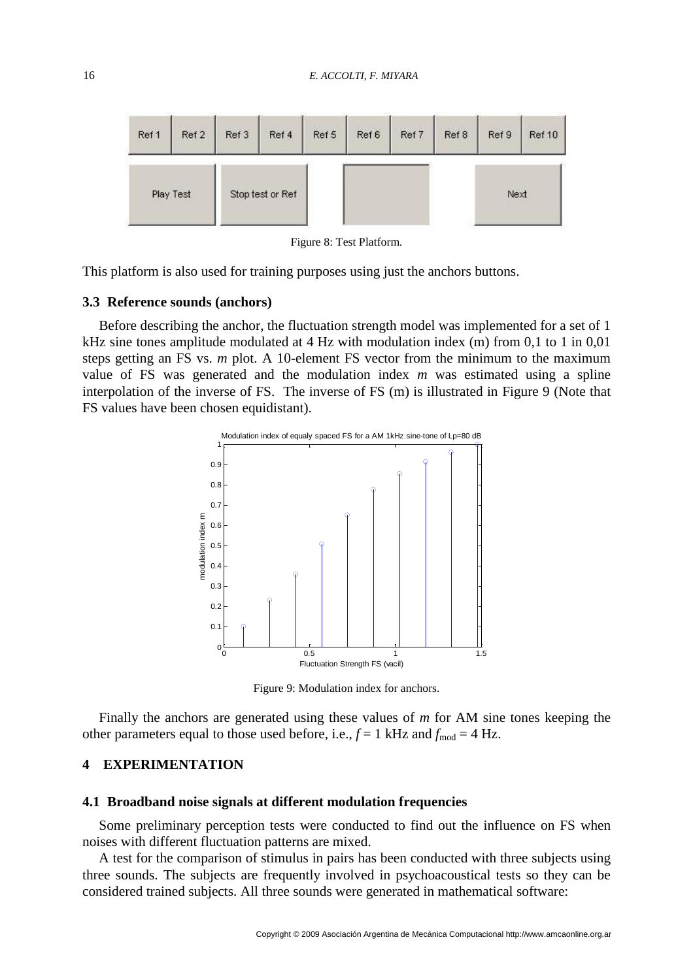

Figure 8: Test Platform.

<span id="page-7-0"></span>This platform is also used for training purposes using just the anchors buttons.

# **3.3 Reference sounds (anchors)**

Before describing the anchor, the fluctuation strength model was implemented for a set of 1 kHz sine tones amplitude modulated at 4 Hz with modulation index (m) from 0,1 to 1 in 0,01 steps getting an FS vs. *m* plot. A 10-element FS vector from the minimum to the maximum value of FS was generated and the modulation index *m* was estimated using a spline interpolation of the inverse of FS. The inverse of FS (m) is illustrated in [Figure 9](#page-7-1) (Note that FS values have been chosen equidistant).



Figure 9: Modulation index for anchors.

<span id="page-7-1"></span>Finally the anchors are generated using these values of *m* for AM sine tones keeping the other parameters equal to those used before, i.e.,  $f = 1$  kHz and  $f_{\text{mod}} = 4$  Hz.

# **4 EXPERIMENTATION**

### **4.1 Broadband noise signals at different modulation frequencies**

Some preliminary perception tests were conducted to find out the influence on FS when noises with different fluctuation patterns are mixed.

A test for the comparison of stimulus in pairs has been conducted with three subjects using three sounds. The subjects are frequently involved in psychoacoustical tests so they can be considered trained subjects. All three sounds were generated in mathematical software: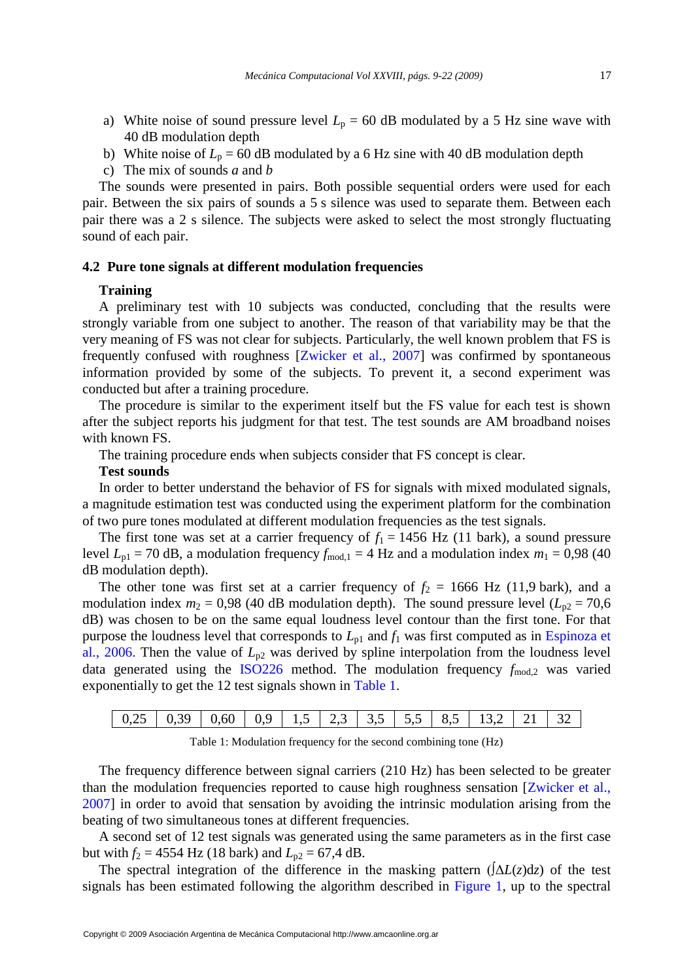- a) White noise of sound pressure level  $L_p = 60$  dB modulated by a 5 Hz sine wave with 40 dB modulation depth
- b) White noise of  $L_p = 60$  dB modulated by a 6 Hz sine with 40 dB modulation depth
- c) The mix of sounds *a* and *b*

The sounds were presented in pairs. Both possible sequential orders were used for each pair. Between the six pairs of sounds a 5 s silence was used to separate them. Between each pair there was a 2 s silence. The subjects were asked to select the most strongly fluctuating sound of each pair.

#### **4.2 Pure tone signals at different modulation frequencies**

#### **Training**

A preliminary test with 10 subjects was conducted, concluding that the results were strongly variable from one subject to another. The reason of that variability may be that the very meaning of FS was not clear for subjects. Particularly, the well known problem that FS is frequently confused with roughness [\[Zwicker et al., 2007\]](#page-13-2) was confirmed by spontaneous information provided by some of the subjects. To prevent it, a second experiment was conducted but after a training procedure.

The procedure is similar to the experiment itself but the FS value for each test is shown after the subject reports his judgment for that test. The test sounds are AM broadband noises with known FS.

The training procedure ends when subjects consider that FS concept is clear.

# **Test sounds**

In order to better understand the behavior of FS for signals with mixed modulated signals, a magnitude estimation test was conducted using the experiment platform for the combination of two pure tones modulated at different modulation frequencies as the test signals.

The first tone was set at a carrier frequency of  $f_1 = 1456$  Hz (11 bark), a sound pressure level  $L_{\text{pl}} = 70$  dB, a modulation frequency  $f_{\text{mod},1} = 4$  Hz and a modulation index  $m_1 = 0.98$  (40) dB modulation depth).

The other tone was first set at a carrier frequency of  $f_2 = 1666$  Hz (11,9 bark), and a modulation index  $m_2 = 0.98$  (40 dB modulation depth). The sound pressure level ( $L_{p2} = 70.6$ ) dB) was chosen to be on the same equal loudness level contour than the first tone. For that purpose the loudness level that corresponds to  $L_{p1}$  and  $f_1$  was first computed as in Espinoza et [al., 2006.](#page-12-5) Then the value of  $L_{p2}$  was derived by spline interpolation from the loudness level data generated using the [ISO226](#page-13-5) method. The modulation frequency  $f_{\text{mod},2}$  was varied exponentially to get the 12 test signals shown in [Table 1.](#page-8-0)

Table 1: Modulation frequency for the second combining tone (Hz)

<span id="page-8-0"></span>The frequency difference between signal carriers (210 Hz) has been selected to be greater than the modulation frequencies reported to cause high roughness sensation [\[Zwicker et al.,](#page-13-2)  [2007\]](#page-13-2) in order to avoid that sensation by avoiding the intrinsic modulation arising from the beating of two simultaneous tones at different frequencies.

A second set of 12 test signals was generated using the same parameters as in the first case but with  $f_2 = 4554$  Hz (18 bark) and  $L_{p2} = 67,4$  dB.

The spectral integration of the difference in the masking pattern  $($  $\Delta L(z)$ d $z)$  of the test signals has been estimated following the algorithm described in [Figure 1,](#page-2-0) up to the spectral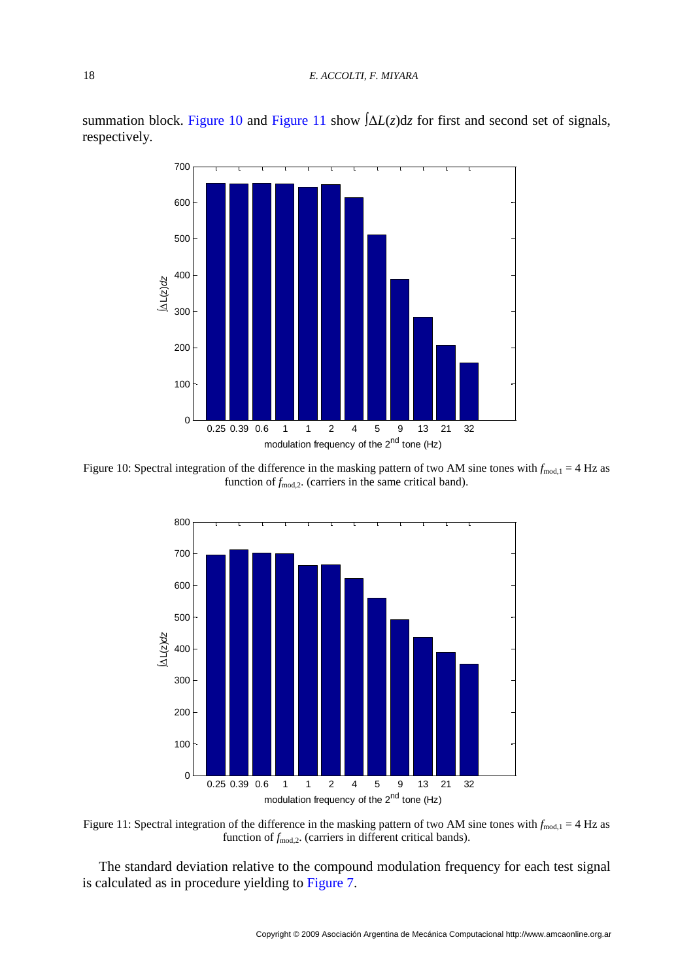summation block. [Figure 10](#page-9-0) and [Figure 11](#page-9-1) show ∫Δ*L*(*z*)d*z* for first and second set of signals, respectively.



<span id="page-9-0"></span>Figure 10: Spectral integration of the difference in the masking pattern of two AM sine tones with  $f_{\text{mod},1} = 4$  Hz as function of  $f_{\text{mod},2}$ . (carriers in the same critical band).



<span id="page-9-1"></span>Figure 11: Spectral integration of the difference in the masking pattern of two AM sine tones with  $f_{mod,1} = 4$  Hz as function of  $f_{\text{mod},2}$ . (carriers in different critical bands).

The standard deviation relative to the compound modulation frequency for each test signal is calculated as in procedure yielding to [Figure 7.](#page-6-0)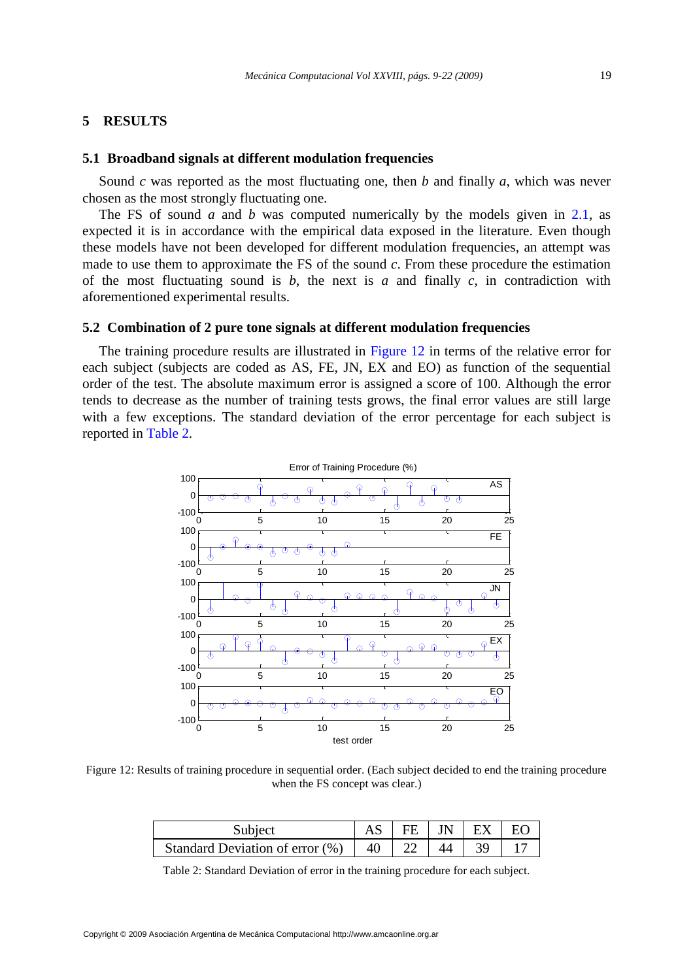# **5 RESULTS**

# **5.1 Broadband signals at different modulation frequencies**

Sound *c* was reported as the most fluctuating one, then *b* and finally *a*, which was never chosen as the most strongly fluctuating one.

The FS of sound *a* and *b* was computed numerically by the models given in [2.1,](#page-2-2) as expected it is in accordance with the empirical data exposed in the literature. Even though these models have not been developed for different modulation frequencies, an attempt was made to use them to approximate the FS of the sound *c*. From these procedure the estimation of the most fluctuating sound is *b*, the next is *a* and finally *c*, in contradiction with aforementioned experimental results.

# **5.2 Combination of 2 pure tone signals at different modulation frequencies**

The training procedure results are illustrated in [Figure 12](#page-10-0) in terms of the relative error for each subject (subjects are coded as AS, FE, JN, EX and EO) as function of the sequential order of the test. The absolute maximum error is assigned a score of 100. Although the error tends to decrease as the number of training tests grows, the final error values are still large with a few exceptions. The standard deviation of the error percentage for each subject is reported in [Table 2.](#page-10-1)



<span id="page-10-0"></span>Figure 12: Results of training procedure in sequential order. (Each subject decided to end the training procedure when the FS concept was clear.)

| Subject                            |    |  | $FE$ $IN$ $EX$ | $E\Omega$ |
|------------------------------------|----|--|----------------|-----------|
| Standard Deviation of error $(\%)$ | 40 |  |                |           |

<span id="page-10-1"></span>Table 2: Standard Deviation of error in the training procedure for each subject.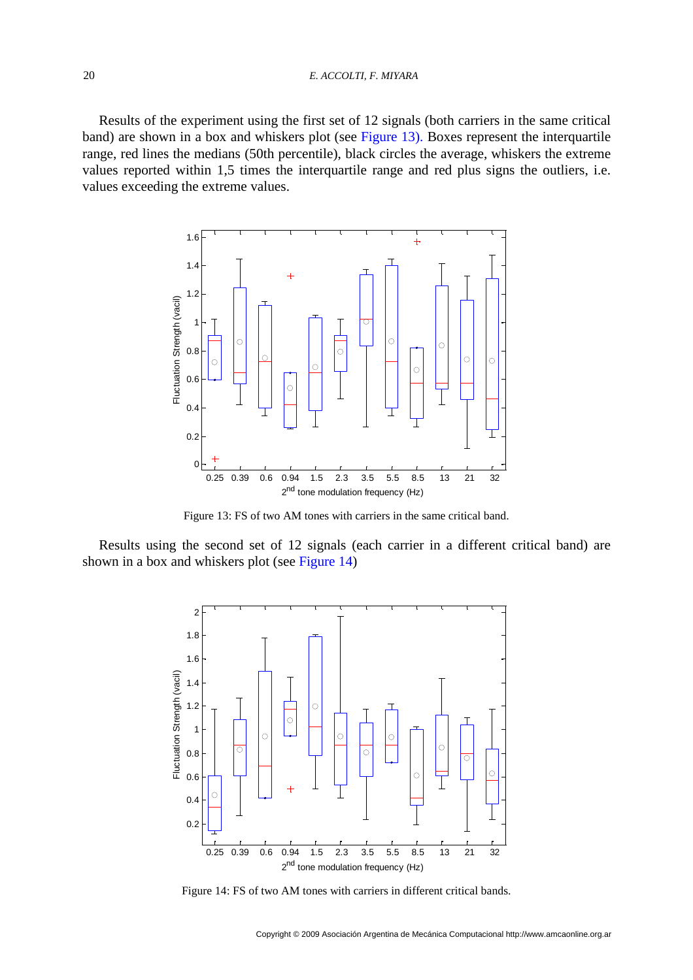#### 20 *E. ACCOLTI, F. MIYARA*

Results of the experiment using the first set of 12 signals (both carriers in the same critical band) are shown in a box and whiskers plot (see [Figure 13\)](#page-11-0). Boxes represent the interquartile range, red lines the medians (50th percentile), black circles the average, whiskers the extreme values reported within 1,5 times the interquartile range and red plus signs the outliers, i.e. values exceeding the extreme values.



Figure 13: FS of two AM tones with carriers in the same critical band.

<span id="page-11-0"></span>Results using the second set of 12 signals (each carrier in a different critical band) are shown in a box and whiskers plot (see [Figure 14\)](#page-11-1)



<span id="page-11-1"></span>Figure 14: FS of two AM tones with carriers in different critical bands.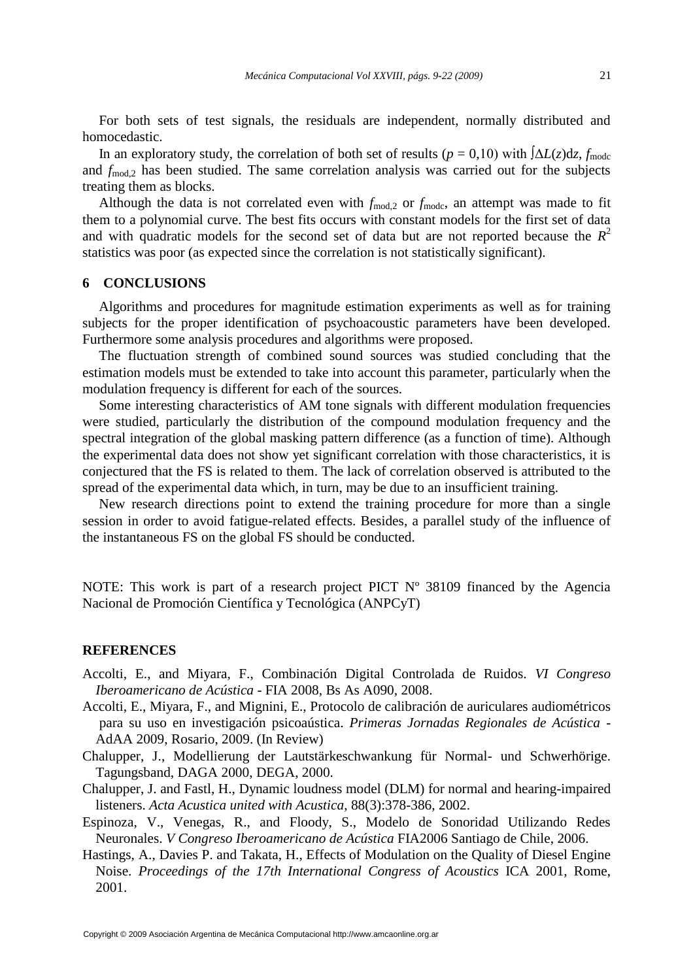For both sets of test signals, the residuals are independent, normally distributed and homocedastic.

In an exploratory study, the correlation of both set of results ( $p = 0.10$ ) with  $\Delta L(z)dz$ ,  $f_{\text{mode}}$ and  $f_{\text{mod},2}$  has been studied. The same correlation analysis was carried out for the subjects treating them as blocks.

Although the data is not correlated even with  $f_{\text{mod},2}$  or  $f_{\text{mod},3}$  an attempt was made to fit them to a polynomial curve. The best fits occurs with constant models for the first set of data and with quadratic models for the second set of data but are not reported because the  $R^2$ statistics was poor (as expected since the correlation is not statistically significant).

# **6 CONCLUSIONS**

Algorithms and procedures for magnitude estimation experiments as well as for training subjects for the proper identification of psychoacoustic parameters have been developed. Furthermore some analysis procedures and algorithms were proposed.

The fluctuation strength of combined sound sources was studied concluding that the estimation models must be extended to take into account this parameter, particularly when the modulation frequency is different for each of the sources.

Some interesting characteristics of AM tone signals with different modulation frequencies were studied, particularly the distribution of the compound modulation frequency and the spectral integration of the global masking pattern difference (as a function of time). Although the experimental data does not show yet significant correlation with those characteristics, it is conjectured that the FS is related to them. The lack of correlation observed is attributed to the spread of the experimental data which, in turn, may be due to an insufficient training.

New research directions point to extend the training procedure for more than a single session in order to avoid fatigue-related effects. Besides, a parallel study of the influence of the instantaneous FS on the global FS should be conducted.

NOTE: This work is part of a research project PICT Nº 38109 financed by the Agencia Nacional de Promoción Científica y Tecnológica (ANPCyT)

# **REFERENCES**

- <span id="page-12-0"></span>Accolti, E., and Miyara, F., Combinación Digital Controlada de Ruidos. *VI Congreso Iberoamericano de Acústica -* FIA 2008, Bs As A090, 2008.
- <span id="page-12-4"></span>Accolti, E., Miyara, F., and Mignini, E., Protocolo de calibración de auriculares audiométricos para su uso en investigación psicoaústica. *Primeras Jornadas Regionales de Acústica -* AdAA 2009, Rosario, 2009. (In Review)
- <span id="page-12-2"></span>Chalupper, J., Modellierung der Lautstärkeschwankung für Normal- und Schwerhörige. Tagungsband, DAGA 2000, DEGA, 2000.
- <span id="page-12-1"></span>Chalupper, J. and Fastl, H., Dynamic loudness model (DLM) for normal and hearing-impaired listeners. *Acta Acustica united with Acustica*, 88(3):378-386, 2002.
- <span id="page-12-5"></span>Espinoza, V., Venegas, R., and Floody, S., Modelo de Sonoridad Utilizando Redes Neuronales. *V Congreso Iberoamericano de Acústica* FIA2006 Santiago de Chile, 2006.
- <span id="page-12-3"></span>Hastings, A., Davies P. and Takata, H., Effects of Modulation on the Quality of Diesel Engine Noise. *Proceedings of the 17th International Congress of Acoustics* ICA 2001, Rome, 2001.